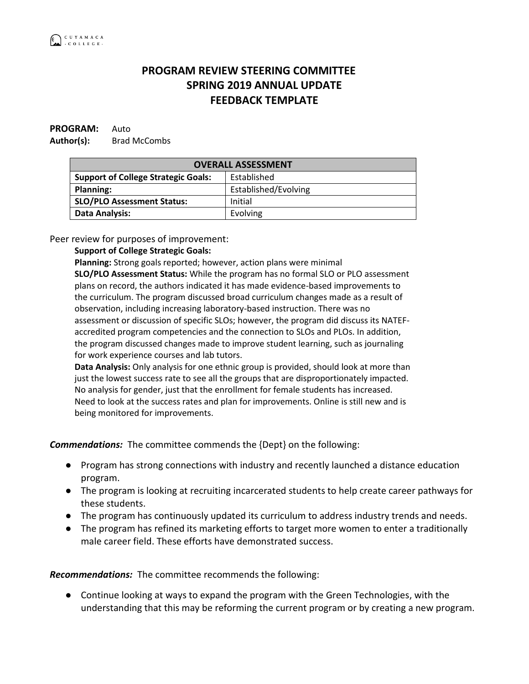## **PROGRAM REVIEW STEERING COMMITTEE SPRING 2019 ANNUAL UPDATE FEEDBACK TEMPLATE**

## **PROGRAM:** Auto Author(s): Brad McCombs

| <b>OVERALL ASSESSMENT</b>                  |                      |
|--------------------------------------------|----------------------|
| <b>Support of College Strategic Goals:</b> | Established          |
| <b>Planning:</b>                           | Established/Evolving |
| <b>SLO/PLO Assessment Status:</b>          | Initial              |
| <b>Data Analysis:</b>                      | Evolving             |

Peer review for purposes of improvement:

## **Support of College Strategic Goals:**

**Planning:** Strong goals reported; however, action plans were minimal **SLO/PLO Assessment Status:** While the program has no formal SLO or PLO assessment plans on record, the authors indicated it has made evidence-based improvements to the curriculum. The program discussed broad curriculum changes made as a result of observation, including increasing laboratory-based instruction. There was no assessment or discussion of specific SLOs; however, the program did discuss its NATEFaccredited program competencies and the connection to SLOs and PLOs. In addition, the program discussed changes made to improve student learning, such as journaling for work experience courses and lab tutors.

**Data Analysis:** Only analysis for one ethnic group is provided, should look at more than just the lowest success rate to see all the groups that are disproportionately impacted. No analysis for gender, just that the enrollment for female students has increased. Need to look at the success rates and plan for improvements. Online is still new and is being monitored for improvements.

*Commendations:* The committee commends the {Dept} on the following:

- Program has strong connections with industry and recently launched a distance education program.
- The program is looking at recruiting incarcerated students to help create career pathways for these students.
- The program has continuously updated its curriculum to address industry trends and needs.
- The program has refined its marketing efforts to target more women to enter a traditionally male career field. These efforts have demonstrated success.

*Recommendations:* The committee recommends the following:

● Continue looking at ways to expand the program with the Green Technologies, with the understanding that this may be reforming the current program or by creating a new program.